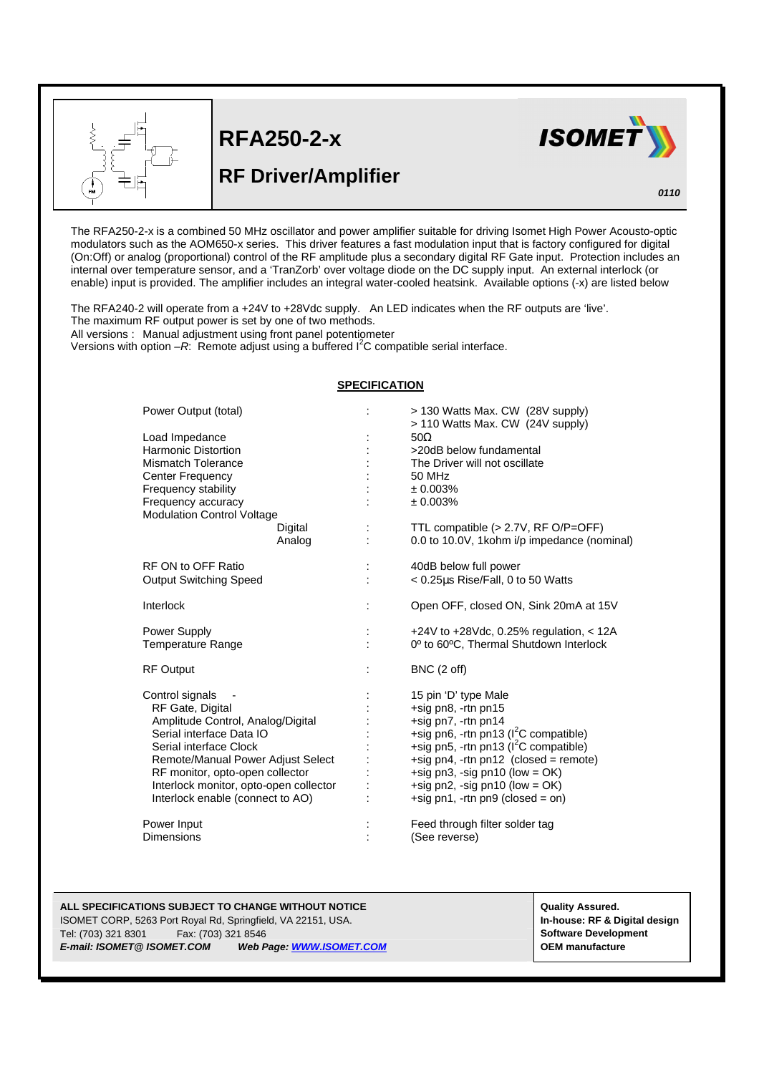

l

**RFA250-2-x**

## **RF Driver/Amplifier**



*0110*

The RFA250-2-x is a combined 50 MHz oscillator and power amplifier suitable for driving Isomet High Power Acousto-optic modulators such as the AOM650-x series. This driver features a fast modulation input that is factory configured for digital (On:Off) or analog (proportional) control of the RF amplitude plus a secondary digital RF Gate input. Protection includes an internal over temperature sensor, and a 'TranZorb' over voltage diode on the DC supply input. An external interlock (or enable) input is provided. The amplifier includes an integral water-cooled heatsink. Available options (-x) are listed below

The RFA240-2 will operate from a +24V to +28Vdc supply. An LED indicates when the RF outputs are 'live'. The maximum RF output power is set by one of two methods.

All versions : Manual adjustment using front panel potentiometer

Versions with option  $-R$ . Remote adjust using a buffered  $I^2C$  compatible serial interface.

## **SPECIFICATION**

| Power Output (total)                                    | $\ddot{\phantom{a}}$ | > 130 Watts Max. CW (28V supply)<br>> 110 Watts Max. CW (24V supply) |
|---------------------------------------------------------|----------------------|----------------------------------------------------------------------|
|                                                         |                      | $50\Omega$                                                           |
| Load Impedance<br><b>Harmonic Distortion</b>            |                      | >20dB below fundamental                                              |
| Mismatch Tolerance                                      |                      | The Driver will not oscillate                                        |
|                                                         |                      | 50 MHz                                                               |
| <b>Center Frequency</b>                                 |                      | ± 0.003%                                                             |
| Frequency stability                                     |                      | ± 0.003%                                                             |
| Frequency accuracy<br><b>Modulation Control Voltage</b> |                      |                                                                      |
| Digital                                                 |                      | TTL compatible $(> 2.7V, RF O/P=OFF)$                                |
| Analog                                                  |                      | 0.0 to 10.0V, 1kohm i/p impedance (nominal)                          |
|                                                         |                      |                                                                      |
| RF ON to OFF Ratio                                      | $\ddot{\phantom{a}}$ | 40dB below full power                                                |
| <b>Output Switching Speed</b>                           |                      | < 0.25µs Rise/Fall, 0 to 50 Watts                                    |
|                                                         |                      |                                                                      |
| Interlock                                               | ÷                    | Open OFF, closed ON, Sink 20mA at 15V                                |
|                                                         |                      |                                                                      |
| Power Supply                                            |                      | +24V to +28Vdc, 0.25% regulation, $<$ 12A                            |
| <b>Temperature Range</b>                                |                      | 0° to 60°C, Thermal Shutdown Interlock                               |
| <b>RF Output</b>                                        |                      | BNC (2 off)                                                          |
|                                                         |                      |                                                                      |
| Control signals                                         |                      | 15 pin 'D' type Male                                                 |
| RF Gate, Digital                                        |                      | +sig pn8, -rtn pn15                                                  |
| Amplitude Control, Analog/Digital                       |                      | +sig pn7, -rtn pn14                                                  |
| Serial interface Data IO                                |                      | +sig pn6, -rtn pn13 ( $I2C$ compatible)                              |
| Serial interface Clock                                  |                      | +sig pn5, -rtn pn13 ( $I2C$ compatible)                              |
| Remote/Manual Power Adjust Select                       |                      | $+$ sig pn4, -rtn pn12 (closed = remote)                             |
| RF monitor, opto-open collector                         |                      | +sig pn3, -sig pn10 (low = $OK$ )                                    |
| Interlock monitor, opto-open collector                  |                      | +sig pn2, -sig pn10 (low = $OK$ )                                    |
| Interlock enable (connect to AO)                        |                      | +sig pn1, -rtn pn9 (closed = on)                                     |
| Power Input                                             |                      | Feed through filter solder tag                                       |
| <b>Dimensions</b>                                       |                      | (See reverse)                                                        |
|                                                         |                      |                                                                      |

## **ALL SPECIFICATIONS SUBJECT TO CHANGE WITHOUT NOTICE All and the contract of the contract of the contract of the contract of the contract of the contract of the contract of the contract of the contract of the contract of t** ISOMET CORP, 5263 Port Royal Rd, Springfield, VA 22151, USA. **In-house: RF & Digital design** Tel: (703) 321 8301 Fax: (703) 321 8546<br> **E-mail: ISOMET@ ISOMET.COM** Web Page: WWW.ISOMET.COM **Software Revelopment**<br>
OEM manufacture **E-mail: ISOMET.COM Web Page: WWW.ISOMET.COM Web Page: WWW.ISOMET.COM**